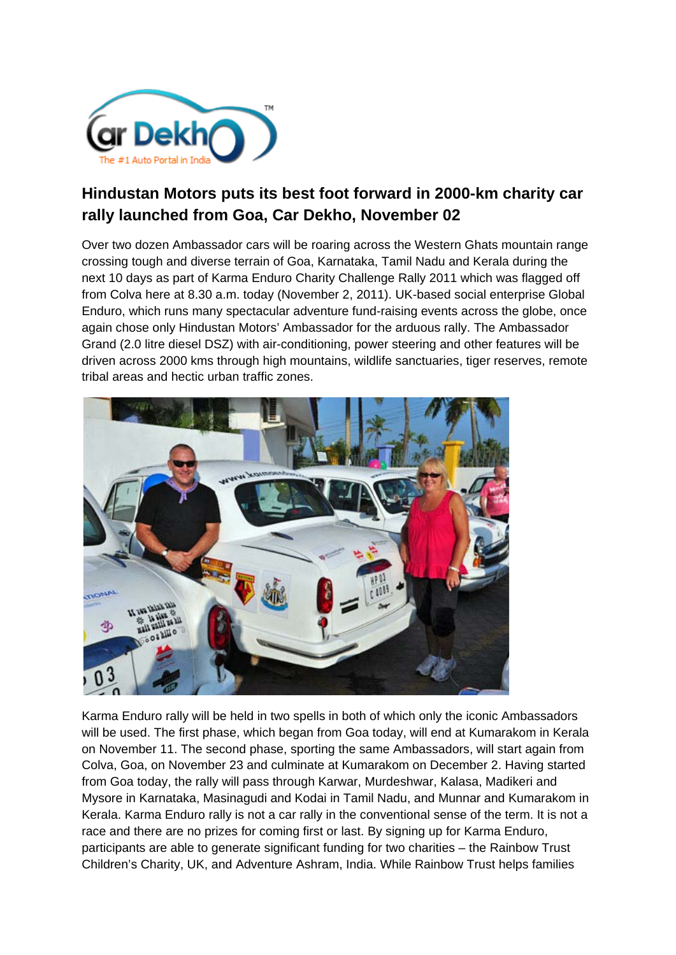

## **Hindustan Motors puts its best foot forward in 2000-km charity car rally launched from Goa, Car Dekho, November 02**

Over two dozen Ambassador cars will be roaring across the Western Ghats mountain range crossing tough and diverse terrain of Goa, Karnataka, Tamil Nadu and Kerala during the next 10 days as part of Karma Enduro Charity Challenge Rally 2011 which was flagged off from Colva here at 8.30 a.m. today (November 2, 2011). UK-based social enterprise Global Enduro, which runs many spectacular adventure fund-raising events across the globe, once again chose only Hindustan Motors' Ambassador for the arduous rally. The Ambassador Grand (2.0 litre diesel DSZ) with air-conditioning, power steering and other features will be driven across 2000 kms through high mountains, wildlife sanctuaries, tiger reserves, remote tribal areas and hectic urban traffic zones.



Karma Enduro rally will be held in two spells in both of which only the iconic Ambassadors will be used. The first phase, which began from Goa today, will end at Kumarakom in Kerala on November 11. The second phase, sporting the same Ambassadors, will start again from Colva, Goa, on November 23 and culminate at Kumarakom on December 2. Having started from Goa today, the rally will pass through Karwar, Murdeshwar, Kalasa, Madikeri and Mysore in Karnataka, Masinagudi and Kodai in Tamil Nadu, and Munnar and Kumarakom in Kerala. Karma Enduro rally is not a car rally in the conventional sense of the term. It is not a race and there are no prizes for coming first or last. By signing up for Karma Enduro, participants are able to generate significant funding for two charities – the Rainbow Trust Children's Charity, UK, and Adventure Ashram, India. While Rainbow Trust helps families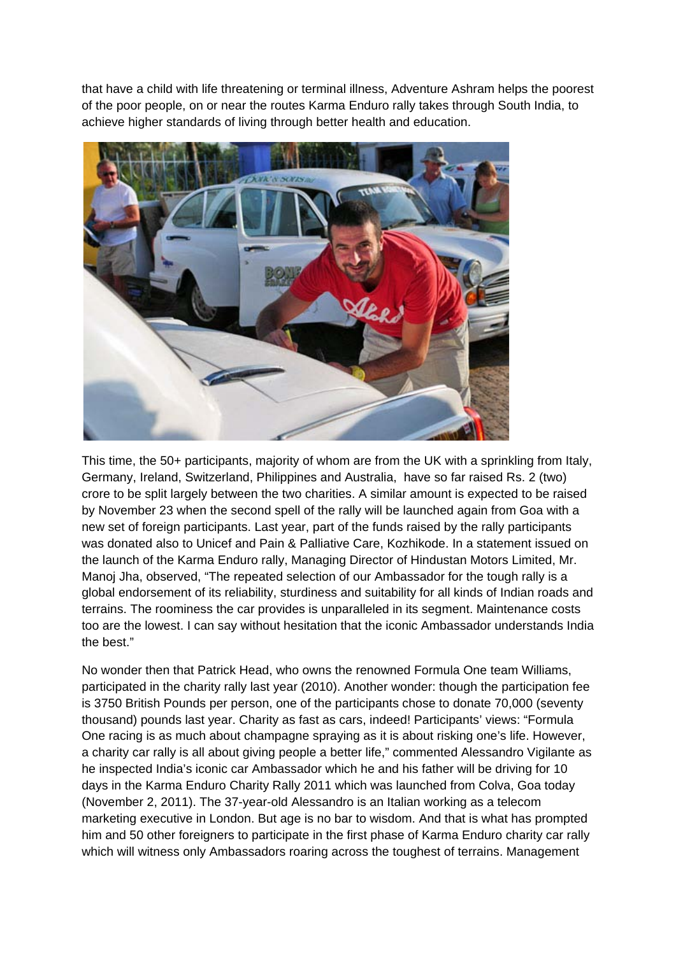that have a child with life threatening or terminal illness, Adventure Ashram helps the poorest of the poor people, on or near the routes Karma Enduro rally takes through South India, to achieve higher standards of living through better health and education.



This time, the 50+ participants, majority of whom are from the UK with a sprinkling from Italy, Germany, Ireland, Switzerland, Philippines and Australia, have so far raised Rs. 2 (two) crore to be split largely between the two charities. A similar amount is expected to be raised by November 23 when the second spell of the rally will be launched again from Goa with a new set of foreign participants. Last year, part of the funds raised by the rally participants was donated also to Unicef and Pain & Palliative Care, Kozhikode. In a statement issued on the launch of the Karma Enduro rally, Managing Director of Hindustan Motors Limited, Mr. Manoj Jha, observed, "The repeated selection of our Ambassador for the tough rally is a global endorsement of its reliability, sturdiness and suitability for all kinds of Indian roads and terrains. The roominess the car provides is unparalleled in its segment. Maintenance costs too are the lowest. I can say without hesitation that the iconic Ambassador understands India the best."

No wonder then that Patrick Head, who owns the renowned Formula One team Williams, participated in the charity rally last year (2010). Another wonder: though the participation fee is 3750 British Pounds per person, one of the participants chose to donate 70,000 (seventy thousand) pounds last year. Charity as fast as cars, indeed! Participants' views: "Formula One racing is as much about champagne spraying as it is about risking one's life. However, a charity car rally is all about giving people a better life," commented Alessandro Vigilante as he inspected India's iconic car Ambassador which he and his father will be driving for 10 days in the Karma Enduro Charity Rally 2011 which was launched from Colva, Goa today (November 2, 2011). The 37-year-old Alessandro is an Italian working as a telecom marketing executive in London. But age is no bar to wisdom. And that is what has prompted him and 50 other foreigners to participate in the first phase of Karma Enduro charity car rally which will witness only Ambassadors roaring across the toughest of terrains. Management